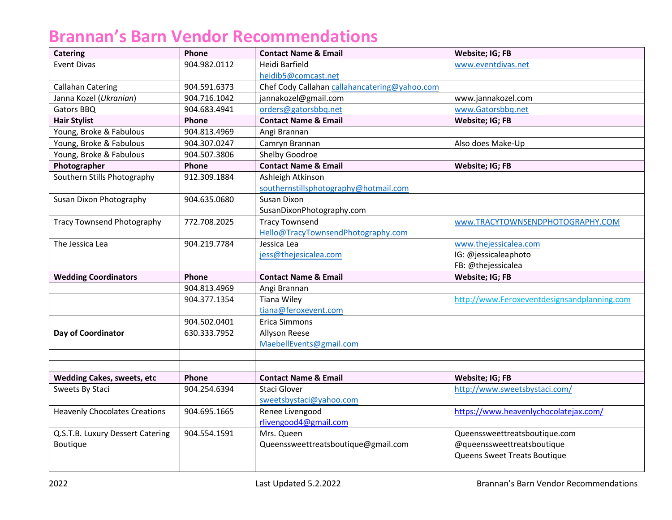## **Brannan's Barn Vendor Recommendations**

| <b>Catering</b>                      | Phone        | <b>Contact Name &amp; Email</b>               | Website; IG; FB                             |
|--------------------------------------|--------------|-----------------------------------------------|---------------------------------------------|
| <b>Event Divas</b>                   | 904.982.0112 | Heidi Barfield                                | www.eventdivas.net                          |
|                                      |              | heidib5@comcast.net                           |                                             |
| <b>Callahan Catering</b>             | 904.591.6373 | Chef Cody Callahan callahancatering@yahoo.com |                                             |
| Janna Kozel (Ukranian)               | 904.716.1042 | jannakozel@gmail.com                          | www.jannakozel.com                          |
| Gators BBQ                           | 904.683.4941 | orders@gatorsbbq.net                          | www.Gatorsbbq.net                           |
| <b>Hair Stylist</b>                  | Phone        | <b>Contact Name &amp; Email</b>               | Website; IG; FB                             |
| Young, Broke & Fabulous              | 904.813.4969 | Angi Brannan                                  |                                             |
| Young, Broke & Fabulous              | 904.307.0247 | Camryn Brannan                                | Also does Make-Up                           |
| Young, Broke & Fabulous              | 904.507.3806 | Shelby Goodroe                                |                                             |
| Photographer                         | Phone        | <b>Contact Name &amp; Email</b>               | Website; IG; FB                             |
| Southern Stills Photography          | 912.309.1884 | Ashleigh Atkinson                             |                                             |
|                                      |              | southernstillsphotography@hotmail.com         |                                             |
| Susan Dixon Photography              | 904.635.0680 | Susan Dixon                                   |                                             |
|                                      |              | SusanDixonPhotography.com                     |                                             |
| <b>Tracy Townsend Photography</b>    | 772.708.2025 | <b>Tracy Townsend</b>                         | www.TRACYTOWNSENDPHOTOGRAPHY.COM            |
|                                      |              | Hello@TracyTownsendPhotography.com            |                                             |
| The Jessica Lea                      | 904.219.7784 | Jessica Lea                                   | www.thejessicalea.com                       |
|                                      |              | jess@thejesicalea.com                         | IG: @jessicaleaphoto                        |
|                                      |              |                                               | FB: @thejessicalea                          |
| <b>Wedding Coordinators</b>          | Phone        | <b>Contact Name &amp; Email</b>               | Website; IG; FB                             |
|                                      | 904.813.4969 | Angi Brannan                                  |                                             |
|                                      | 904.377.1354 | <b>Tiana Wiley</b>                            | http://www.Feroxeventdesignsandplanning.com |
|                                      |              | tiana@feroxevent.com                          |                                             |
|                                      | 904.502.0401 | Erica Simmons                                 |                                             |
| Day of Coordinator                   | 630.333.7952 | Allyson Reese                                 |                                             |
|                                      |              | MaebellEvents@gmail.com                       |                                             |
|                                      |              |                                               |                                             |
|                                      |              |                                               |                                             |
| <b>Wedding Cakes, sweets, etc</b>    | Phone        | <b>Contact Name &amp; Email</b>               | Website; IG; FB                             |
| Sweets By Staci                      | 904.254.6394 | Staci Glover                                  | http://www.sweetsbystaci.com/               |
|                                      |              | sweetsbystaci@yahoo.com                       |                                             |
| <b>Heavenly Chocolates Creations</b> | 904.695.1665 | Renee Livengood                               | https://www.heavenlychocolatejax.com/       |
|                                      |              | rlivengood4@gmail.com                         |                                             |
| Q.S.T.B. Luxury Dessert Catering     | 904.554.1591 | Mrs. Queen                                    | Queenssweettreatsboutique.com               |
| Boutique                             |              | Queenssweettreatsboutique@gmail.com           | @queenssweettreatsboutique                  |
|                                      |              |                                               | Queens Sweet Treats Boutique                |
|                                      |              |                                               |                                             |